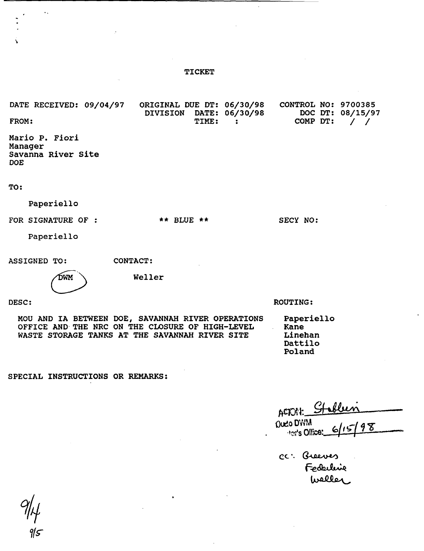## TICKET

ORIGINAL DUE DT: 06/30/98 DATE RECEIVED: 09/04/97 CONTROL NO: 9700385 DATE: 06/30/98<br>TIME: : DOC DT: 08/15/97 DIVISION FROM: TIME: COMP DT: / / Mario P. Fiori Manager Savanna River Site DOE TO: Paperiello FOR SIGNATURE OF :  $***$  BLUE \*\* SECY NO: Paperiello CONTACT: ASSIGNED TO: Weller DWM ROUTING: DESC: MOU AND IA BETWEEN DOE, SAVANNAH RIVER OPERATIONS Paperiello OFFICE AND THE NRC ON THE CLOSURE OF HIGH-LEVEL Kane

SPECIAL INSTRUCTIONS OR REMARKS:

WASTE STORAGE TANKS AT THE SAVANNAH RIVER SITE

ACTORY: **Oudo** DWM 98 .tor's Office:

CC: Greeves Federline<br>Waller

Linehan Dattilo Poland